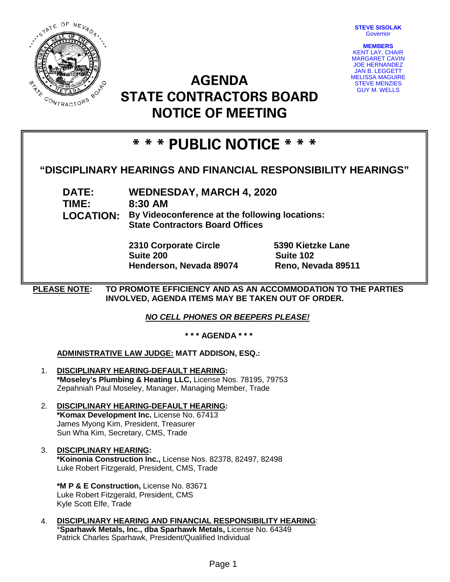**STEVE SISOLAK Governor** 



**AGENDA STATE CONTRACTORS BOARD NOTICE OF MEETING**



# **\* \* \* PUBLIC NOTICE \* \* \***

## **"DISCIPLINARY HEARINGS AND FINANCIAL RESPONSIBILITY HEARINGS"**

**DATE: WEDNESDAY, MARCH 4, 2020 TIME: 8:30 AM LOCATION: By Videoconference at the following locations: State Contractors Board Offices**

> **2310 Corporate Circle 5390 Kietzke Lane Suite 200 Suite 102 Henderson, Nevada 89074 Reno, Nevada 89511**

**PLEASE NOTE: TO PROMOTE EFFICIENCY AND AS AN ACCOMMODATION TO THE PARTIES INVOLVED, AGENDA ITEMS MAY BE TAKEN OUT OF ORDER.**

*NO CELL PHONES OR BEEPERS PLEASE!* 

**\* \* \* AGENDA \* \* \***

### **ADMINISTRATIVE LAW JUDGE: MATT ADDISON, ESQ.:**

- 1. **DISCIPLINARY HEARING-DEFAULT HEARING: \*Moseley's Plumbing & Heating LLC,** License Nos. 78195, 79753 Zepahniah Paul Moseley, Manager, Managing Member, Trade
- 2. **DISCIPLINARY HEARING-DEFAULT HEARING: \*Komax Development Inc.** License No. 67413 James Myong Kim, President, Treasurer Sun Wha Kim, Secretary, CMS, Trade
- 3. **DISCIPLINARY HEARING: \*Koinonia Construction Inc.,** License Nos. 82378, 82497, 82498 Luke Robert Fitzgerald, President, CMS, Trade

**\*M P & E Construction,** License No. 83671 Luke Robert Fitzgerald, President, CMS Kyle Scott Elfe, Trade

4. **DISCIPLINARY HEARING AND FINANCIAL RESPONSIBILITY HEARING**: \***Sparhawk Metals, Inc., dba Sparhawk Metals,** License No. 64349 Patrick Charles Sparhawk, President/Qualified Individual